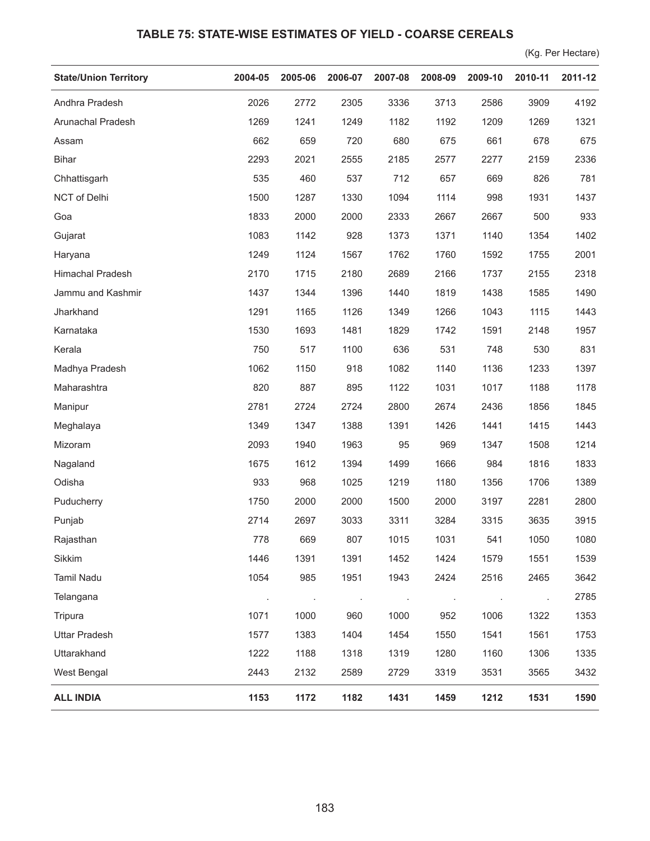## **TABLE 75: STATE-WISE ESTIMATES OF YIELD - COARSE CEREALS**

(Kg. Per Hectare)

| <b>State/Union Territory</b> | 2004-05 | 2005-06 | 2006-07 | 2007-08 | 2008-09 | 2009-10 | 2010-11 | 2011-12 |
|------------------------------|---------|---------|---------|---------|---------|---------|---------|---------|
| Andhra Pradesh               | 2026    | 2772    | 2305    | 3336    | 3713    | 2586    | 3909    | 4192    |
| Arunachal Pradesh            | 1269    | 1241    | 1249    | 1182    | 1192    | 1209    | 1269    | 1321    |
| Assam                        | 662     | 659     | 720     | 680     | 675     | 661     | 678     | 675     |
| <b>Bihar</b>                 | 2293    | 2021    | 2555    | 2185    | 2577    | 2277    | 2159    | 2336    |
| Chhattisgarh                 | 535     | 460     | 537     | 712     | 657     | 669     | 826     | 781     |
| NCT of Delhi                 | 1500    | 1287    | 1330    | 1094    | 1114    | 998     | 1931    | 1437    |
| Goa                          | 1833    | 2000    | 2000    | 2333    | 2667    | 2667    | 500     | 933     |
| Gujarat                      | 1083    | 1142    | 928     | 1373    | 1371    | 1140    | 1354    | 1402    |
| Haryana                      | 1249    | 1124    | 1567    | 1762    | 1760    | 1592    | 1755    | 2001    |
| Himachal Pradesh             | 2170    | 1715    | 2180    | 2689    | 2166    | 1737    | 2155    | 2318    |
| Jammu and Kashmir            | 1437    | 1344    | 1396    | 1440    | 1819    | 1438    | 1585    | 1490    |
| Jharkhand                    | 1291    | 1165    | 1126    | 1349    | 1266    | 1043    | 1115    | 1443    |
| Karnataka                    | 1530    | 1693    | 1481    | 1829    | 1742    | 1591    | 2148    | 1957    |
| Kerala                       | 750     | 517     | 1100    | 636     | 531     | 748     | 530     | 831     |
| Madhya Pradesh               | 1062    | 1150    | 918     | 1082    | 1140    | 1136    | 1233    | 1397    |
| Maharashtra                  | 820     | 887     | 895     | 1122    | 1031    | 1017    | 1188    | 1178    |
| Manipur                      | 2781    | 2724    | 2724    | 2800    | 2674    | 2436    | 1856    | 1845    |
| Meghalaya                    | 1349    | 1347    | 1388    | 1391    | 1426    | 1441    | 1415    | 1443    |
| Mizoram                      | 2093    | 1940    | 1963    | 95      | 969     | 1347    | 1508    | 1214    |
| Nagaland                     | 1675    | 1612    | 1394    | 1499    | 1666    | 984     | 1816    | 1833    |
| Odisha                       | 933     | 968     | 1025    | 1219    | 1180    | 1356    | 1706    | 1389    |
| Puducherry                   | 1750    | 2000    | 2000    | 1500    | 2000    | 3197    | 2281    | 2800    |
| Punjab                       | 2714    | 2697    | 3033    | 3311    | 3284    | 3315    | 3635    | 3915    |
| Rajasthan                    | 778     | 669     | 807     | 1015    | 1031    | 541     | 1050    | 1080    |
| Sikkim                       | 1446    | 1391    | 1391    | 1452    | 1424    | 1579    | 1551    | 1539    |
| Tamil Nadu                   | 1054    | 985     | 1951    | 1943    | 2424    | 2516    | 2465    | 3642    |
| Telangana                    |         | $\sim$  |         |         |         | $\cdot$ |         | 2785    |
| Tripura                      | 1071    | 1000    | 960     | 1000    | 952     | 1006    | 1322    | 1353    |
| <b>Uttar Pradesh</b>         | 1577    | 1383    | 1404    | 1454    | 1550    | 1541    | 1561    | 1753    |
| Uttarakhand                  | 1222    | 1188    | 1318    | 1319    | 1280    | 1160    | 1306    | 1335    |
| West Bengal                  | 2443    | 2132    | 2589    | 2729    | 3319    | 3531    | 3565    | 3432    |
| <b>ALL INDIA</b>             | 1153    | 1172    | 1182    | 1431    | 1459    | 1212    | 1531    | 1590    |